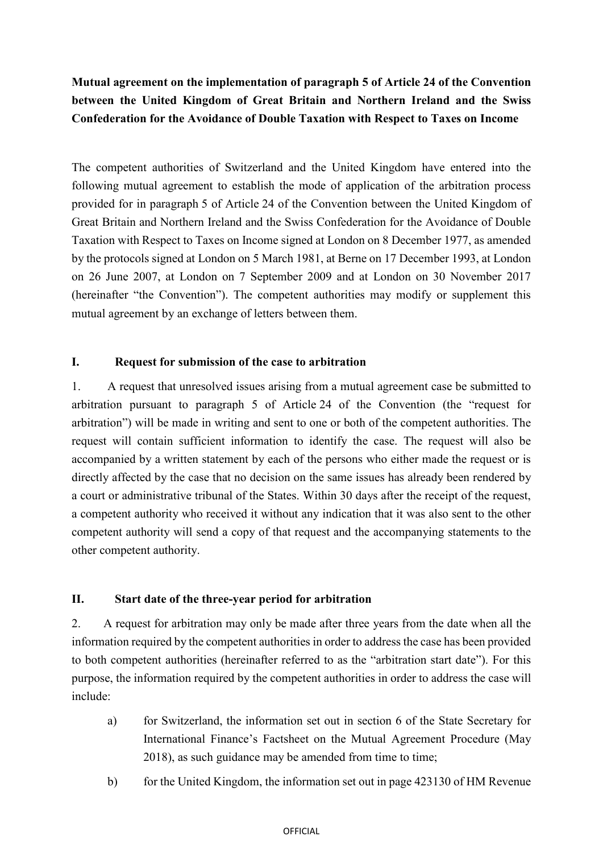# **Mutual agreement on the implementation of paragraph 5 of Article 24 of the Convention between the United Kingdom of Great Britain and Northern Ireland and the Swiss Confederation for the Avoidance of Double Taxation with Respect to Taxes on Income**

The competent authorities of Switzerland and the United Kingdom have entered into the following mutual agreement to establish the mode of application of the arbitration process provided for in paragraph 5 of Article 24 of the Convention between the United Kingdom of Great Britain and Northern Ireland and the Swiss Confederation for the Avoidance of Double Taxation with Respect to Taxes on Income signed at London on 8 December 1977, as amended by the protocols signed at London on 5 March 1981, at Berne on 17 December 1993, at London on 26 June 2007, at London on 7 September 2009 and at London on 30 November 2017 (hereinafter "the Convention"). The competent authorities may modify or supplement this mutual agreement by an exchange of letters between them.

### **I. Request for submission of the case to arbitration**

1. A request that unresolved issues arising from a mutual agreement case be submitted to arbitration pursuant to paragraph 5 of Article 24 of the Convention (the "request for arbitration") will be made in writing and sent to one or both of the competent authorities. The request will contain sufficient information to identify the case. The request will also be accompanied by a written statement by each of the persons who either made the request or is directly affected by the case that no decision on the same issues has already been rendered by a court or administrative tribunal of the States. Within 30 days after the receipt of the request, a competent authority who received it without any indication that it was also sent to the other competent authority will send a copy of that request and the accompanying statements to the other competent authority.

### **II. Start date of the three-year period for arbitration**

2. A request for arbitration may only be made after three years from the date when all the information required by the competent authorities in order to address the case has been provided to both competent authorities (hereinafter referred to as the "arbitration start date"). For this purpose, the information required by the competent authorities in order to address the case will include:

- a) for Switzerland, the information set out in section 6 of the State Secretary for International Finance's Factsheet on the Mutual Agreement Procedure (May 2018), as such guidance may be amended from time to time;
- b) for the United Kingdom, the information set out in page 423130 of HM Revenue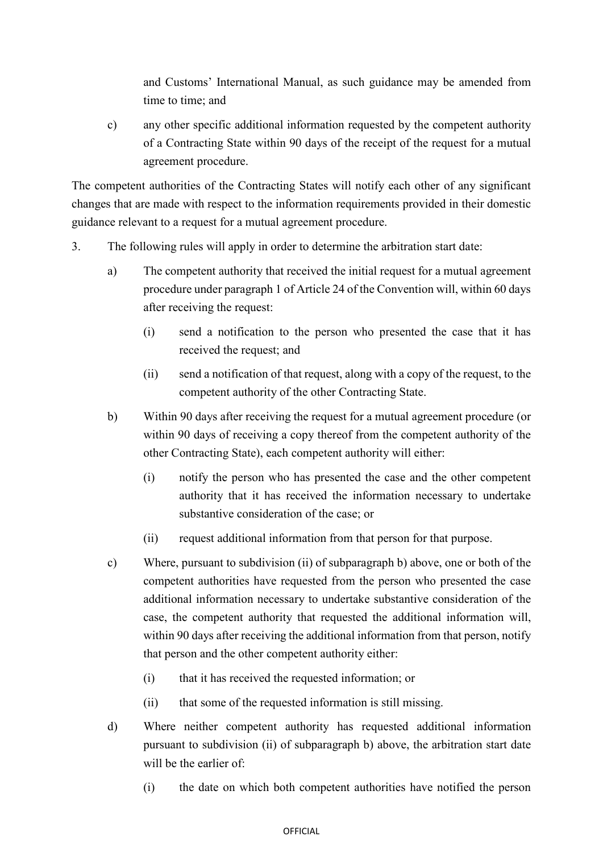and Customs' International Manual, as such guidance may be amended from time to time; and

c) any other specific additional information requested by the competent authority of a Contracting State within 90 days of the receipt of the request for a mutual agreement procedure.

The competent authorities of the Contracting States will notify each other of any significant changes that are made with respect to the information requirements provided in their domestic guidance relevant to a request for a mutual agreement procedure.

- 3. The following rules will apply in order to determine the arbitration start date:
	- a) The competent authority that received the initial request for a mutual agreement procedure under paragraph 1 of Article 24 of the Convention will, within 60 days after receiving the request:
		- (i) send a notification to the person who presented the case that it has received the request; and
		- (ii) send a notification of that request, along with a copy of the request, to the competent authority of the other Contracting State.
	- b) Within 90 days after receiving the request for a mutual agreement procedure (or within 90 days of receiving a copy thereof from the competent authority of the other Contracting State), each competent authority will either:
		- (i) notify the person who has presented the case and the other competent authority that it has received the information necessary to undertake substantive consideration of the case; or
		- (ii) request additional information from that person for that purpose.
	- c) Where, pursuant to subdivision (ii) of subparagraph b) above, one or both of the competent authorities have requested from the person who presented the case additional information necessary to undertake substantive consideration of the case, the competent authority that requested the additional information will, within 90 days after receiving the additional information from that person, notify that person and the other competent authority either:
		- (i) that it has received the requested information; or
		- (ii) that some of the requested information is still missing.
	- d) Where neither competent authority has requested additional information pursuant to subdivision (ii) of subparagraph b) above, the arbitration start date will be the earlier of:
		- (i) the date on which both competent authorities have notified the person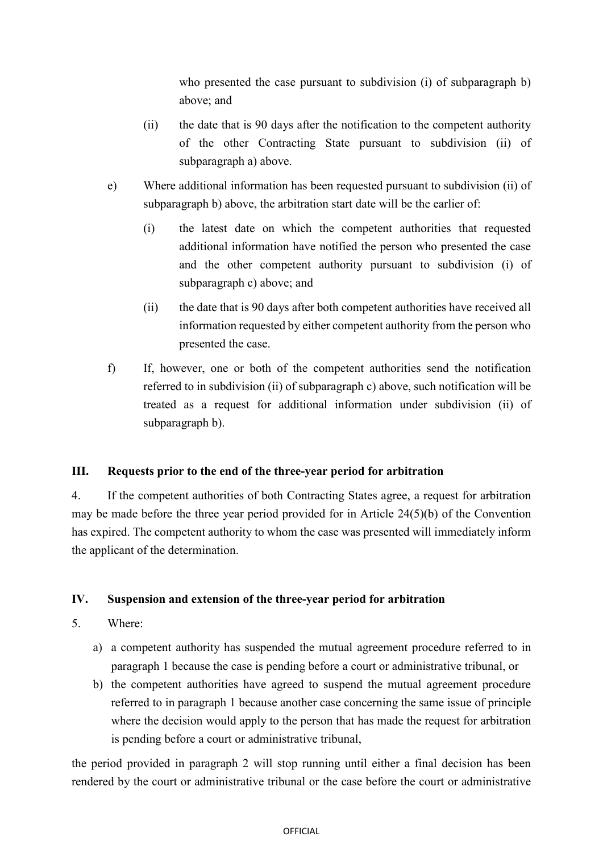who presented the case pursuant to subdivision (i) of subparagraph b) above; and

- (ii) the date that is 90 days after the notification to the competent authority of the other Contracting State pursuant to subdivision (ii) of subparagraph a) above.
- e) Where additional information has been requested pursuant to subdivision (ii) of subparagraph b) above, the arbitration start date will be the earlier of:
	- (i) the latest date on which the competent authorities that requested additional information have notified the person who presented the case and the other competent authority pursuant to subdivision (i) of subparagraph c) above; and
	- (ii) the date that is 90 days after both competent authorities have received all information requested by either competent authority from the person who presented the case.
- f) If, however, one or both of the competent authorities send the notification referred to in subdivision (ii) of subparagraph c) above, such notification will be treated as a request for additional information under subdivision (ii) of subparagraph b).

### **III. Requests prior to the end of the three-year period for arbitration**

4. If the competent authorities of both Contracting States agree, a request for arbitration may be made before the three year period provided for in Article 24(5)(b) of the Convention has expired. The competent authority to whom the case was presented will immediately inform the applicant of the determination.

### **IV. Suspension and extension of the three-year period for arbitration**

- 5. Where:
	- a) a competent authority has suspended the mutual agreement procedure referred to in paragraph 1 because the case is pending before a court or administrative tribunal, or
	- b) the competent authorities have agreed to suspend the mutual agreement procedure referred to in paragraph 1 because another case concerning the same issue of principle where the decision would apply to the person that has made the request for arbitration is pending before a court or administrative tribunal,

the period provided in paragraph 2 will stop running until either a final decision has been rendered by the court or administrative tribunal or the case before the court or administrative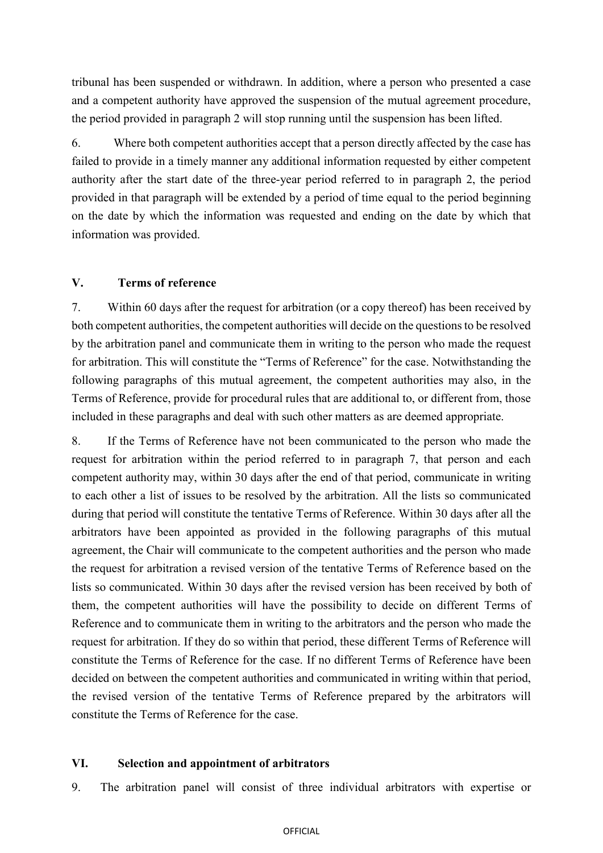tribunal has been suspended or withdrawn. In addition, where a person who presented a case and a competent authority have approved the suspension of the mutual agreement procedure, the period provided in paragraph 2 will stop running until the suspension has been lifted.

6. Where both competent authorities accept that a person directly affected by the case has failed to provide in a timely manner any additional information requested by either competent authority after the start date of the three-year period referred to in paragraph 2, the period provided in that paragraph will be extended by a period of time equal to the period beginning on the date by which the information was requested and ending on the date by which that information was provided.

### **V. Terms of reference**

7. Within 60 days after the request for arbitration (or a copy thereof) has been received by both competent authorities, the competent authorities will decide on the questions to be resolved by the arbitration panel and communicate them in writing to the person who made the request for arbitration. This will constitute the "Terms of Reference" for the case. Notwithstanding the following paragraphs of this mutual agreement, the competent authorities may also, in the Terms of Reference, provide for procedural rules that are additional to, or different from, those included in these paragraphs and deal with such other matters as are deemed appropriate.

8. If the Terms of Reference have not been communicated to the person who made the request for arbitration within the period referred to in paragraph 7, that person and each competent authority may, within 30 days after the end of that period, communicate in writing to each other a list of issues to be resolved by the arbitration. All the lists so communicated during that period will constitute the tentative Terms of Reference. Within 30 days after all the arbitrators have been appointed as provided in the following paragraphs of this mutual agreement, the Chair will communicate to the competent authorities and the person who made the request for arbitration a revised version of the tentative Terms of Reference based on the lists so communicated. Within 30 days after the revised version has been received by both of them, the competent authorities will have the possibility to decide on different Terms of Reference and to communicate them in writing to the arbitrators and the person who made the request for arbitration. If they do so within that period, these different Terms of Reference will constitute the Terms of Reference for the case. If no different Terms of Reference have been decided on between the competent authorities and communicated in writing within that period, the revised version of the tentative Terms of Reference prepared by the arbitrators will constitute the Terms of Reference for the case.

#### **VI. Selection and appointment of arbitrators**

9. The arbitration panel will consist of three individual arbitrators with expertise or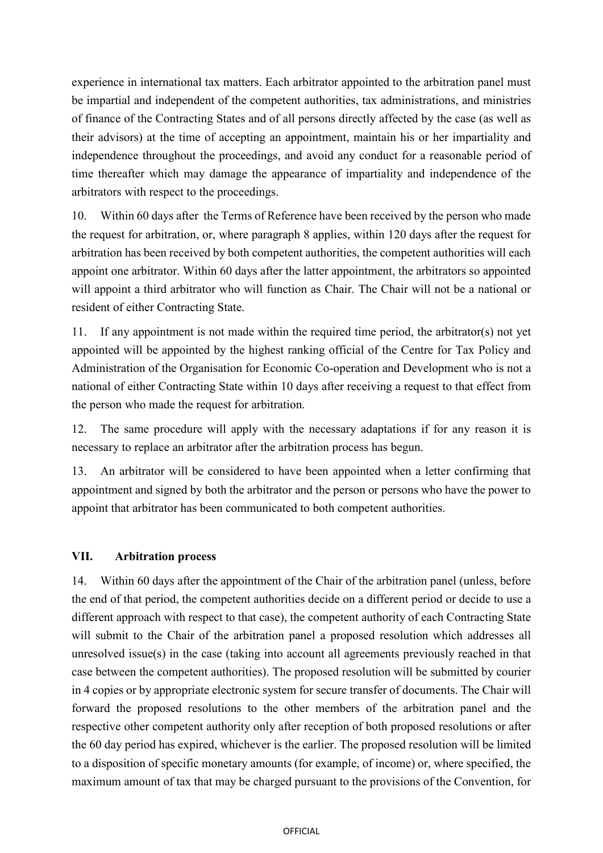experience in international tax matters. Each arbitrator appointed to the arbitration panel must be impartial and independent of the competent authorities, tax administrations, and ministries of finance of the Contracting States and of all persons directly affected by the case (as well as their advisors) at the time of accepting an appointment, maintain his or her impartiality and independence throughout the proceedings, and avoid any conduct for a reasonable period of time thereafter which may damage the appearance of impartiality and independence of the arbitrators with respect to the proceedings.

10. Within 60 days after the Terms of Reference have been received by the person who made the request for arbitration, or, where paragraph 8 applies, within 120 days after the request for arbitration has been received by both competent authorities, the competent authorities will each appoint one arbitrator. Within 60 days after the latter appointment, the arbitrators so appointed will appoint a third arbitrator who will function as Chair. The Chair will not be a national or resident of either Contracting State.

11. If any appointment is not made within the required time period, the arbitrator(s) not yet appointed will be appointed by the highest ranking official of the Centre for Tax Policy and Administration of the Organisation for Economic Co-operation and Development who is not a national of either Contracting State within 10 days after receiving a request to that effect from the person who made the request for arbitration.

12. The same procedure will apply with the necessary adaptations if for any reason it is necessary to replace an arbitrator after the arbitration process has begun.

13. An arbitrator will be considered to have been appointed when a letter confirming that appointment and signed by both the arbitrator and the person or persons who have the power to appoint that arbitrator has been communicated to both competent authorities.

### **VII. Arbitration process**

14. Within 60 days after the appointment of the Chair of the arbitration panel (unless, before the end of that period, the competent authorities decide on a different period or decide to use a different approach with respect to that case), the competent authority of each Contracting State will submit to the Chair of the arbitration panel a proposed resolution which addresses all unresolved issue(s) in the case (taking into account all agreements previously reached in that case between the competent authorities). The proposed resolution will be submitted by courier in 4 copies or by appropriate electronic system for secure transfer of documents. The Chair will forward the proposed resolutions to the other members of the arbitration panel and the respective other competent authority only after reception of both proposed resolutions or after the 60 day period has expired, whichever is the earlier. The proposed resolution will be limited to a disposition of specific monetary amounts (for example, of income) or, where specified, the maximum amount of tax that may be charged pursuant to the provisions of the Convention, for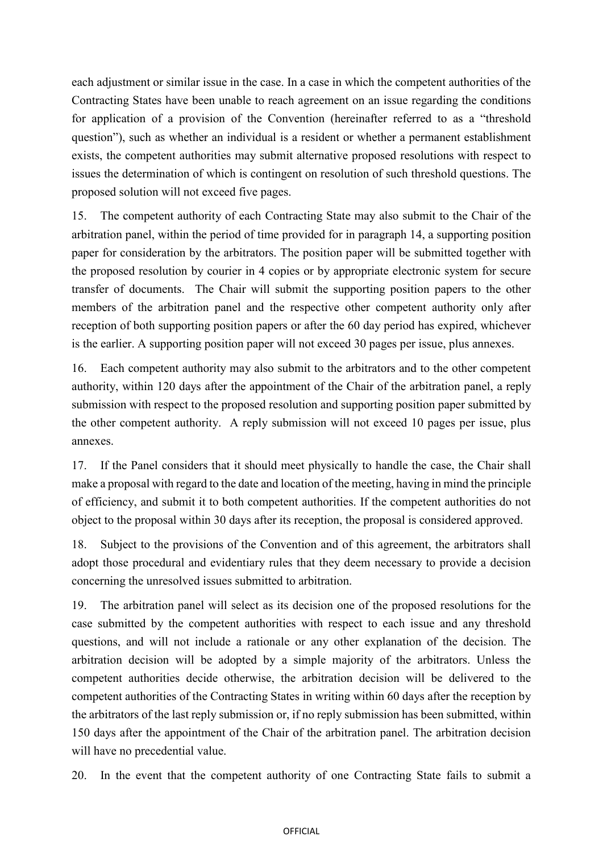each adjustment or similar issue in the case. In a case in which the competent authorities of the Contracting States have been unable to reach agreement on an issue regarding the conditions for application of a provision of the Convention (hereinafter referred to as a "threshold question"), such as whether an individual is a resident or whether a permanent establishment exists, the competent authorities may submit alternative proposed resolutions with respect to issues the determination of which is contingent on resolution of such threshold questions. The proposed solution will not exceed five pages.

15. The competent authority of each Contracting State may also submit to the Chair of the arbitration panel, within the period of time provided for in paragraph 14, a supporting position paper for consideration by the arbitrators. The position paper will be submitted together with the proposed resolution by courier in 4 copies or by appropriate electronic system for secure transfer of documents. The Chair will submit the supporting position papers to the other members of the arbitration panel and the respective other competent authority only after reception of both supporting position papers or after the 60 day period has expired, whichever is the earlier. A supporting position paper will not exceed 30 pages per issue, plus annexes.

16. Each competent authority may also submit to the arbitrators and to the other competent authority, within 120 days after the appointment of the Chair of the arbitration panel, a reply submission with respect to the proposed resolution and supporting position paper submitted by the other competent authority. A reply submission will not exceed 10 pages per issue, plus annexes.

17. If the Panel considers that it should meet physically to handle the case, the Chair shall make a proposal with regard to the date and location of the meeting, having in mind the principle of efficiency, and submit it to both competent authorities. If the competent authorities do not object to the proposal within 30 days after its reception, the proposal is considered approved.

18. Subject to the provisions of the Convention and of this agreement, the arbitrators shall adopt those procedural and evidentiary rules that they deem necessary to provide a decision concerning the unresolved issues submitted to arbitration.

19. The arbitration panel will select as its decision one of the proposed resolutions for the case submitted by the competent authorities with respect to each issue and any threshold questions, and will not include a rationale or any other explanation of the decision. The arbitration decision will be adopted by a simple majority of the arbitrators. Unless the competent authorities decide otherwise, the arbitration decision will be delivered to the competent authorities of the Contracting States in writing within 60 days after the reception by the arbitrators of the last reply submission or, if no reply submission has been submitted, within 150 days after the appointment of the Chair of the arbitration panel. The arbitration decision will have no precedential value.

20. In the event that the competent authority of one Contracting State fails to submit a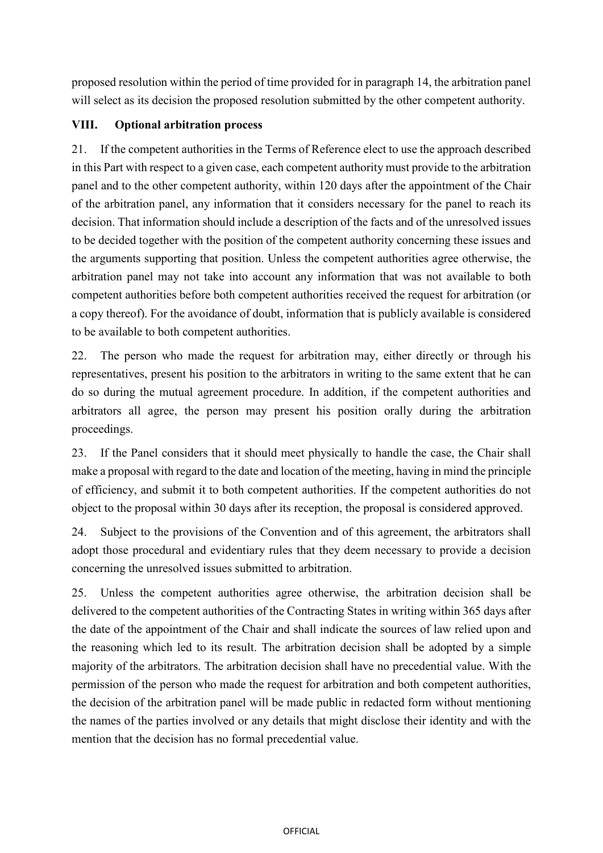proposed resolution within the period of time provided for in paragraph 14, the arbitration panel will select as its decision the proposed resolution submitted by the other competent authority.

# **VIII. Optional arbitration process**

21. If the competent authorities in the Terms of Reference elect to use the approach described in this Part with respect to a given case, each competent authority must provide to the arbitration panel and to the other competent authority, within 120 days after the appointment of the Chair of the arbitration panel, any information that it considers necessary for the panel to reach its decision. That information should include a description of the facts and of the unresolved issues to be decided together with the position of the competent authority concerning these issues and the arguments supporting that position. Unless the competent authorities agree otherwise, the arbitration panel may not take into account any information that was not available to both competent authorities before both competent authorities received the request for arbitration (or a copy thereof). For the avoidance of doubt, information that is publicly available is considered to be available to both competent authorities.

22. The person who made the request for arbitration may, either directly or through his representatives, present his position to the arbitrators in writing to the same extent that he can do so during the mutual agreement procedure. In addition, if the competent authorities and arbitrators all agree, the person may present his position orally during the arbitration proceedings.

23. If the Panel considers that it should meet physically to handle the case, the Chair shall make a proposal with regard to the date and location of the meeting, having in mind the principle of efficiency, and submit it to both competent authorities. If the competent authorities do not object to the proposal within 30 days after its reception, the proposal is considered approved.

24. Subject to the provisions of the Convention and of this agreement, the arbitrators shall adopt those procedural and evidentiary rules that they deem necessary to provide a decision concerning the unresolved issues submitted to arbitration.

25. Unless the competent authorities agree otherwise, the arbitration decision shall be delivered to the competent authorities of the Contracting States in writing within 365 days after the date of the appointment of the Chair and shall indicate the sources of law relied upon and the reasoning which led to its result. The arbitration decision shall be adopted by a simple majority of the arbitrators. The arbitration decision shall have no precedential value. With the permission of the person who made the request for arbitration and both competent authorities, the decision of the arbitration panel will be made public in redacted form without mentioning the names of the parties involved or any details that might disclose their identity and with the mention that the decision has no formal precedential value.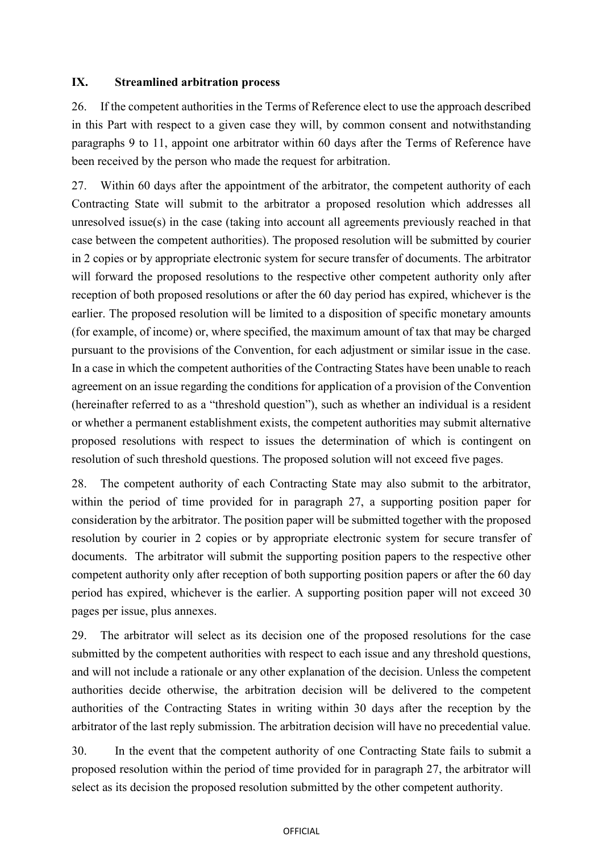#### **IX. Streamlined arbitration process**

26. If the competent authorities in the Terms of Reference elect to use the approach described in this Part with respect to a given case they will, by common consent and notwithstanding paragraphs 9 to 11, appoint one arbitrator within 60 days after the Terms of Reference have been received by the person who made the request for arbitration.

27. Within 60 days after the appointment of the arbitrator, the competent authority of each Contracting State will submit to the arbitrator a proposed resolution which addresses all unresolved issue(s) in the case (taking into account all agreements previously reached in that case between the competent authorities). The proposed resolution will be submitted by courier in 2 copies or by appropriate electronic system for secure transfer of documents. The arbitrator will forward the proposed resolutions to the respective other competent authority only after reception of both proposed resolutions or after the 60 day period has expired, whichever is the earlier. The proposed resolution will be limited to a disposition of specific monetary amounts (for example, of income) or, where specified, the maximum amount of tax that may be charged pursuant to the provisions of the Convention, for each adjustment or similar issue in the case. In a case in which the competent authorities of the Contracting States have been unable to reach agreement on an issue regarding the conditions for application of a provision of the Convention (hereinafter referred to as a "threshold question"), such as whether an individual is a resident or whether a permanent establishment exists, the competent authorities may submit alternative proposed resolutions with respect to issues the determination of which is contingent on resolution of such threshold questions. The proposed solution will not exceed five pages.

28. The competent authority of each Contracting State may also submit to the arbitrator, within the period of time provided for in paragraph 27, a supporting position paper for consideration by the arbitrator. The position paper will be submitted together with the proposed resolution by courier in 2 copies or by appropriate electronic system for secure transfer of documents. The arbitrator will submit the supporting position papers to the respective other competent authority only after reception of both supporting position papers or after the 60 day period has expired, whichever is the earlier. A supporting position paper will not exceed 30 pages per issue, plus annexes.

29. The arbitrator will select as its decision one of the proposed resolutions for the case submitted by the competent authorities with respect to each issue and any threshold questions, and will not include a rationale or any other explanation of the decision. Unless the competent authorities decide otherwise, the arbitration decision will be delivered to the competent authorities of the Contracting States in writing within 30 days after the reception by the arbitrator of the last reply submission. The arbitration decision will have no precedential value.

30. In the event that the competent authority of one Contracting State fails to submit a proposed resolution within the period of time provided for in paragraph 27, the arbitrator will select as its decision the proposed resolution submitted by the other competent authority.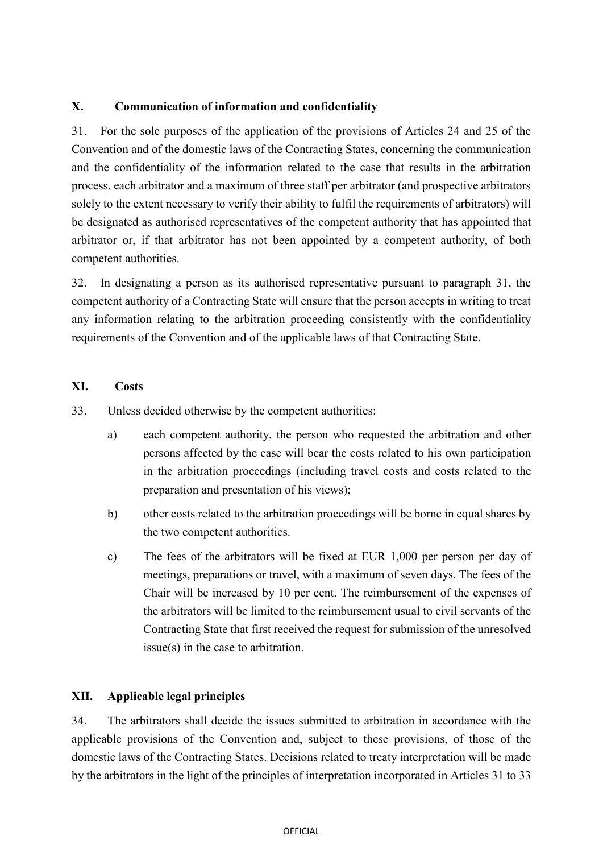### **X. Communication of information and confidentiality**

31. For the sole purposes of the application of the provisions of Articles 24 and 25 of the Convention and of the domestic laws of the Contracting States, concerning the communication and the confidentiality of the information related to the case that results in the arbitration process, each arbitrator and a maximum of three staff per arbitrator (and prospective arbitrators solely to the extent necessary to verify their ability to fulfil the requirements of arbitrators) will be designated as authorised representatives of the competent authority that has appointed that arbitrator or, if that arbitrator has not been appointed by a competent authority, of both competent authorities.

32. In designating a person as its authorised representative pursuant to paragraph 31, the competent authority of a Contracting State will ensure that the person accepts in writing to treat any information relating to the arbitration proceeding consistently with the confidentiality requirements of the Convention and of the applicable laws of that Contracting State.

#### **XI. Costs**

33. Unless decided otherwise by the competent authorities:

- a) each competent authority, the person who requested the arbitration and other persons affected by the case will bear the costs related to his own participation in the arbitration proceedings (including travel costs and costs related to the preparation and presentation of his views);
- b) other costs related to the arbitration proceedings will be borne in equal shares by the two competent authorities.
- c) The fees of the arbitrators will be fixed at EUR 1,000 per person per day of meetings, preparations or travel, with a maximum of seven days. The fees of the Chair will be increased by 10 per cent. The reimbursement of the expenses of the arbitrators will be limited to the reimbursement usual to civil servants of the Contracting State that first received the request for submission of the unresolved issue(s) in the case to arbitration.

### **XII. Applicable legal principles**

34. The arbitrators shall decide the issues submitted to arbitration in accordance with the applicable provisions of the Convention and, subject to these provisions, of those of the domestic laws of the Contracting States. Decisions related to treaty interpretation will be made by the arbitrators in the light of the principles of interpretation incorporated in Articles 31 to 33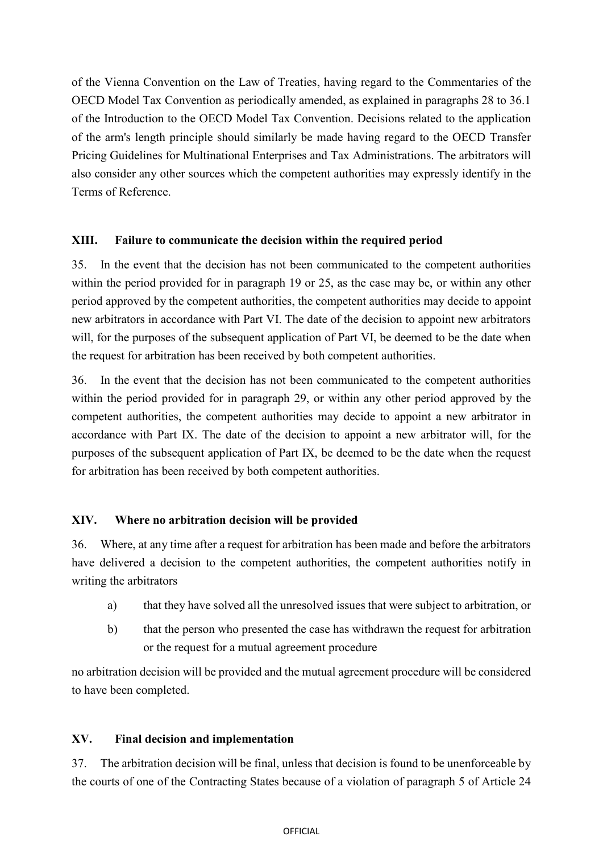of the Vienna Convention on the Law of Treaties, having regard to the Commentaries of the OECD Model Tax Convention as periodically amended, as explained in paragraphs 28 to 36.1 of the Introduction to the OECD Model Tax Convention. Decisions related to the application of the arm's length principle should similarly be made having regard to the OECD Transfer Pricing Guidelines for Multinational Enterprises and Tax Administrations. The arbitrators will also consider any other sources which the competent authorities may expressly identify in the Terms of Reference.

#### **XIII. Failure to communicate the decision within the required period**

35. In the event that the decision has not been communicated to the competent authorities within the period provided for in paragraph 19 or 25, as the case may be, or within any other period approved by the competent authorities, the competent authorities may decide to appoint new arbitrators in accordance with Part VI. The date of the decision to appoint new arbitrators will, for the purposes of the subsequent application of Part VI, be deemed to be the date when the request for arbitration has been received by both competent authorities.

36. In the event that the decision has not been communicated to the competent authorities within the period provided for in paragraph 29, or within any other period approved by the competent authorities, the competent authorities may decide to appoint a new arbitrator in accordance with Part IX. The date of the decision to appoint a new arbitrator will, for the purposes of the subsequent application of Part IX, be deemed to be the date when the request for arbitration has been received by both competent authorities.

### **XIV. Where no arbitration decision will be provided**

36. Where, at any time after a request for arbitration has been made and before the arbitrators have delivered a decision to the competent authorities, the competent authorities notify in writing the arbitrators

- a) that they have solved all the unresolved issues that were subject to arbitration, or
- b) that the person who presented the case has withdrawn the request for arbitration or the request for a mutual agreement procedure

no arbitration decision will be provided and the mutual agreement procedure will be considered to have been completed.

### **XV. Final decision and implementation**

37. The arbitration decision will be final, unless that decision is found to be unenforceable by the courts of one of the Contracting States because of a violation of paragraph 5 of Article 24